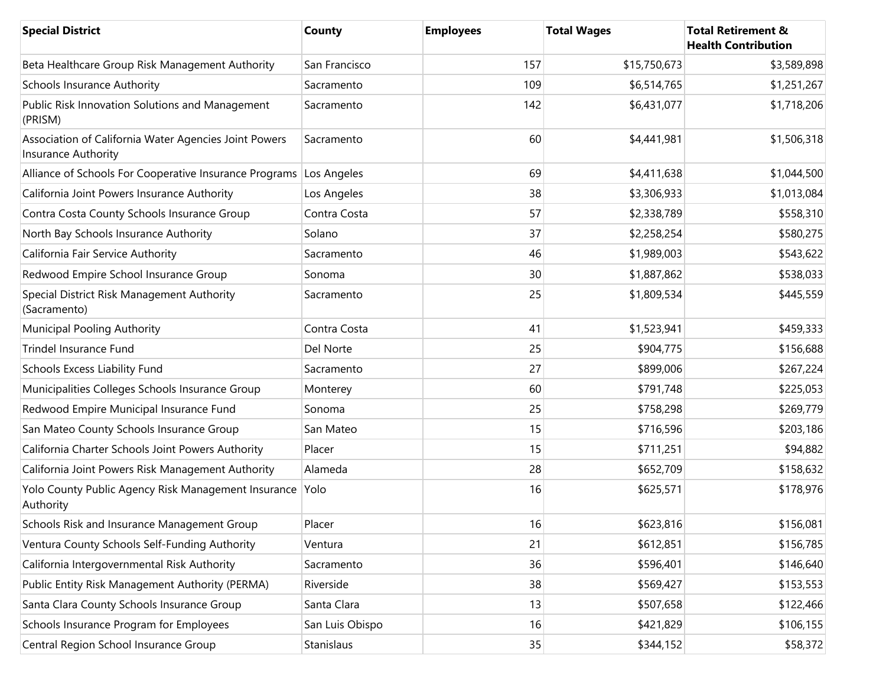| <b>Special District</b>                                                      | <b>County</b>   | <b>Employees</b> | <b>Total Wages</b> | <b>Total Retirement &amp;</b><br><b>Health Contribution</b> |
|------------------------------------------------------------------------------|-----------------|------------------|--------------------|-------------------------------------------------------------|
| Beta Healthcare Group Risk Management Authority                              | San Francisco   | 157              | \$15,750,673       | \$3,589,898                                                 |
| <b>Schools Insurance Authority</b>                                           | Sacramento      | 109              | \$6,514,765        | \$1,251,267                                                 |
| Public Risk Innovation Solutions and Management<br>(PRISM)                   | Sacramento      | 142              | \$6,431,077        | \$1,718,206                                                 |
| Association of California Water Agencies Joint Powers<br>Insurance Authority | Sacramento      | 60               | \$4,441,981        | \$1,506,318                                                 |
| Alliance of Schools For Cooperative Insurance Programs Los Angeles           |                 | 69               | \$4,411,638        | \$1,044,500                                                 |
| California Joint Powers Insurance Authority                                  | Los Angeles     | 38               | \$3,306,933        | \$1,013,084                                                 |
| Contra Costa County Schools Insurance Group                                  | Contra Costa    | 57               | \$2,338,789        | \$558,310                                                   |
| North Bay Schools Insurance Authority                                        | Solano          | 37               | \$2,258,254        | \$580,275                                                   |
| California Fair Service Authority                                            | Sacramento      | 46               | \$1,989,003        | \$543,622                                                   |
| Redwood Empire School Insurance Group                                        | Sonoma          | 30               | \$1,887,862        | \$538,033                                                   |
| Special District Risk Management Authority<br>(Sacramento)                   | Sacramento      | 25               | \$1,809,534        | \$445,559                                                   |
| Municipal Pooling Authority                                                  | Contra Costa    | 41               | \$1,523,941        | \$459,333                                                   |
| Trindel Insurance Fund                                                       | Del Norte       | 25               | \$904,775          | \$156,688                                                   |
| Schools Excess Liability Fund                                                | Sacramento      | 27               | \$899,006          | \$267,224                                                   |
| Municipalities Colleges Schools Insurance Group                              | Monterey        | 60               | \$791,748          | \$225,053                                                   |
| Redwood Empire Municipal Insurance Fund                                      | Sonoma          | 25               | \$758,298          | \$269,779                                                   |
| San Mateo County Schools Insurance Group                                     | San Mateo       | 15               | \$716,596          | \$203,186                                                   |
| California Charter Schools Joint Powers Authority                            | Placer          | 15               | \$711,251          | \$94,882                                                    |
| California Joint Powers Risk Management Authority                            | Alameda         | 28               | \$652,709          | \$158,632                                                   |
| Yolo County Public Agency Risk Management Insurance<br>Authority             | Yolo            | 16               | \$625,571          | \$178,976                                                   |
| Schools Risk and Insurance Management Group                                  | Placer          | 16               | \$623,816          | \$156,081                                                   |
| Ventura County Schools Self-Funding Authority                                | Ventura         | 21               | \$612,851          | \$156,785                                                   |
| California Intergovernmental Risk Authority                                  | Sacramento      | 36               | \$596,401          | \$146,640                                                   |
| Public Entity Risk Management Authority (PERMA)                              | Riverside       | 38               | \$569,427          | \$153,553                                                   |
| Santa Clara County Schools Insurance Group                                   | Santa Clara     | 13               | \$507,658          | \$122,466                                                   |
| Schools Insurance Program for Employees                                      | San Luis Obispo | 16               | \$421,829          | \$106,155                                                   |
| Central Region School Insurance Group                                        | Stanislaus      | 35               | \$344,152          | \$58,372                                                    |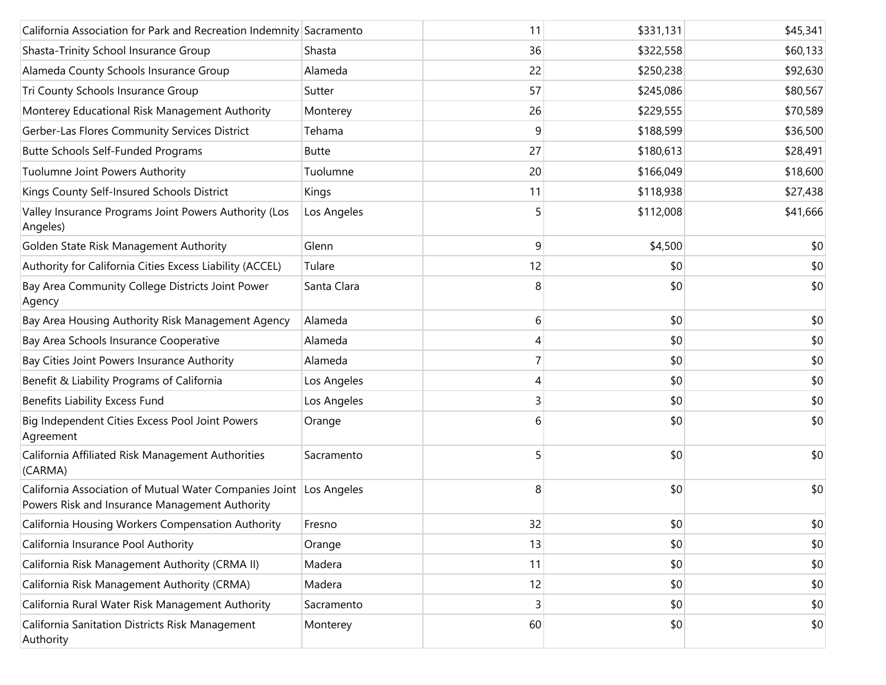| California Association for Park and Recreation Indemnity Sacramento                                                  |              | 11 | \$331,131 | \$45,341 |
|----------------------------------------------------------------------------------------------------------------------|--------------|----|-----------|----------|
| Shasta-Trinity School Insurance Group                                                                                | Shasta       | 36 | \$322,558 | \$60,133 |
| Alameda County Schools Insurance Group                                                                               | Alameda      | 22 | \$250,238 | \$92,630 |
| Tri County Schools Insurance Group                                                                                   | Sutter       | 57 | \$245,086 | \$80,567 |
| Monterey Educational Risk Management Authority                                                                       | Monterey     | 26 | \$229,555 | \$70,589 |
| Gerber-Las Flores Community Services District                                                                        | Tehama       | 9  | \$188,599 | \$36,500 |
| <b>Butte Schools Self-Funded Programs</b>                                                                            | <b>Butte</b> | 27 | \$180,613 | \$28,491 |
| Tuolumne Joint Powers Authority                                                                                      | Tuolumne     | 20 | \$166,049 | \$18,600 |
| Kings County Self-Insured Schools District                                                                           | Kings        | 11 | \$118,938 | \$27,438 |
| Valley Insurance Programs Joint Powers Authority (Los<br>Angeles)                                                    | Los Angeles  | 5  | \$112,008 | \$41,666 |
| Golden State Risk Management Authority                                                                               | Glenn        | 9  | \$4,500   | \$0      |
| Authority for California Cities Excess Liability (ACCEL)                                                             | Tulare       | 12 | \$0       | \$0      |
| Bay Area Community College Districts Joint Power<br>Agency                                                           | Santa Clara  | 8  | \$0       | \$0      |
| Bay Area Housing Authority Risk Management Agency                                                                    | Alameda      | 6  | \$0       | \$0      |
| Bay Area Schools Insurance Cooperative                                                                               | Alameda      | 4  | \$0       | \$0      |
| Bay Cities Joint Powers Insurance Authority                                                                          | Alameda      | 7  | \$0       | \$0      |
| Benefit & Liability Programs of California                                                                           | Los Angeles  | 4  | \$0       | \$0      |
| Benefits Liability Excess Fund                                                                                       | Los Angeles  | 3  | \$0       | \$0      |
| Big Independent Cities Excess Pool Joint Powers<br>Agreement                                                         | Orange       | 6  | \$0       | \$0      |
| California Affiliated Risk Management Authorities<br>(CARMA)                                                         | Sacramento   | 5  | \$0       | \$0      |
| California Association of Mutual Water Companies Joint Los Angeles<br>Powers Risk and Insurance Management Authority |              | 8  | \$0       | \$0      |
| California Housing Workers Compensation Authority                                                                    | Fresno       | 32 | \$0       | \$0      |
| California Insurance Pool Authority                                                                                  | Orange       | 13 | \$0       | \$0      |
| California Risk Management Authority (CRMA II)                                                                       | Madera       | 11 | \$0       | \$0      |
| California Risk Management Authority (CRMA)                                                                          | Madera       | 12 | \$0       | \$0      |
| California Rural Water Risk Management Authority                                                                     | Sacramento   | 3  | \$0       | \$0      |
| California Sanitation Districts Risk Management<br>Authority                                                         | Monterey     | 60 | \$0       | \$0      |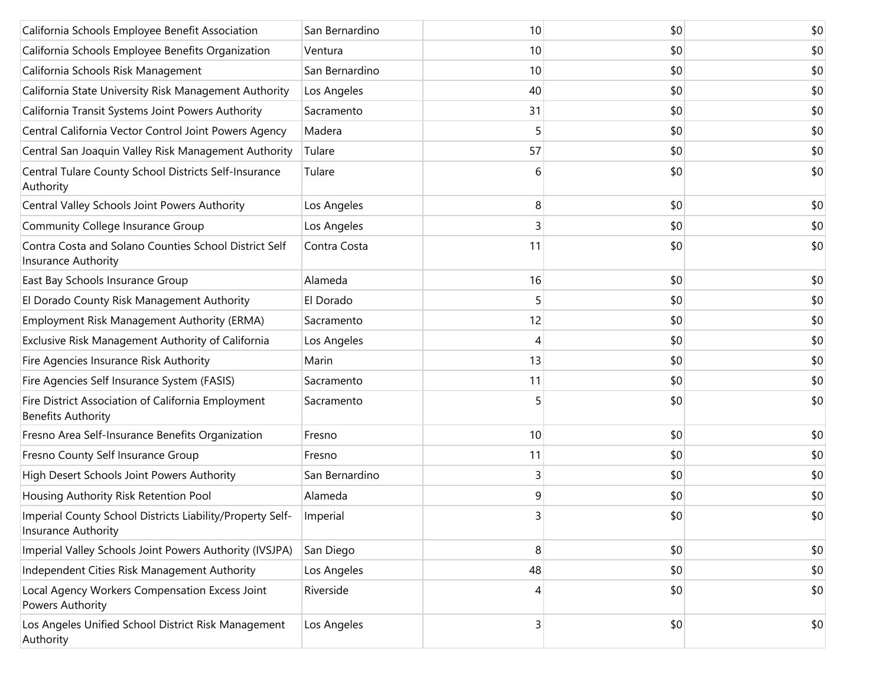| California Schools Employee Benefit Association                                  | San Bernardino | 10 | \$0 | \$0 |
|----------------------------------------------------------------------------------|----------------|----|-----|-----|
| California Schools Employee Benefits Organization                                | Ventura        | 10 | \$0 | \$0 |
| California Schools Risk Management                                               | San Bernardino | 10 | \$0 | \$0 |
| California State University Risk Management Authority                            | Los Angeles    | 40 | \$0 | \$0 |
| California Transit Systems Joint Powers Authority                                | Sacramento     | 31 | \$0 | \$0 |
| Central California Vector Control Joint Powers Agency                            | Madera         | 5  | \$0 | \$0 |
| Central San Joaquin Valley Risk Management Authority                             | Tulare         | 57 | \$0 | \$0 |
| Central Tulare County School Districts Self-Insurance<br>Authority               | Tulare         | 6  | \$0 | \$0 |
| Central Valley Schools Joint Powers Authority                                    | Los Angeles    | 8  | \$0 | \$0 |
| Community College Insurance Group                                                | Los Angeles    | 3  | \$0 | \$0 |
| Contra Costa and Solano Counties School District Self<br>Insurance Authority     | Contra Costa   | 11 | \$0 | \$0 |
| East Bay Schools Insurance Group                                                 | Alameda        | 16 | \$0 | \$0 |
| El Dorado County Risk Management Authority                                       | El Dorado      | 5  | \$0 | \$0 |
| Employment Risk Management Authority (ERMA)                                      | Sacramento     | 12 | \$0 | \$0 |
| Exclusive Risk Management Authority of California                                | Los Angeles    | 4  | \$0 | \$0 |
| Fire Agencies Insurance Risk Authority                                           | Marin          | 13 | \$0 | \$0 |
| Fire Agencies Self Insurance System (FASIS)                                      | Sacramento     | 11 | \$0 | \$0 |
| Fire District Association of California Employment<br><b>Benefits Authority</b>  | Sacramento     | 5  | \$0 | \$0 |
| Fresno Area Self-Insurance Benefits Organization                                 | Fresno         | 10 | \$0 | \$0 |
| Fresno County Self Insurance Group                                               | Fresno         | 11 | \$0 | \$0 |
| High Desert Schools Joint Powers Authority                                       | San Bernardino | 3  | \$0 | \$0 |
| Housing Authority Risk Retention Pool                                            | Alameda        | 9  | \$0 | \$0 |
| Imperial County School Districts Liability/Property Self-<br>Insurance Authority | Imperial       | 3  | \$0 | \$0 |
| Imperial Valley Schools Joint Powers Authority (IVSJPA)                          | San Diego      | 8  | \$0 | \$0 |
| Independent Cities Risk Management Authority                                     | Los Angeles    | 48 | \$0 | \$0 |
| Local Agency Workers Compensation Excess Joint<br>Powers Authority               | Riverside      | 4  | \$0 | \$0 |
| Los Angeles Unified School District Risk Management<br>Authority                 | Los Angeles    | 3  | \$0 | \$0 |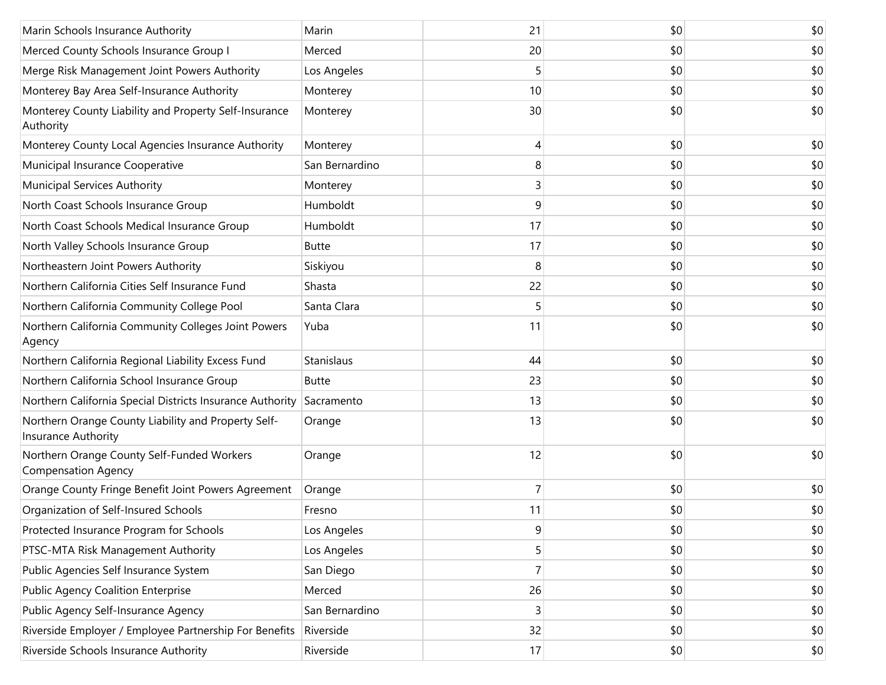| Marin Schools Insurance Authority                                          | Marin          | 21             | \$0 | \$0 |
|----------------------------------------------------------------------------|----------------|----------------|-----|-----|
| Merced County Schools Insurance Group I                                    | Merced         | 20             | \$0 | \$0 |
| Merge Risk Management Joint Powers Authority                               | Los Angeles    | 5              | \$0 | \$0 |
| Monterey Bay Area Self-Insurance Authority                                 | Monterey       | 10             | \$0 | \$0 |
| Monterey County Liability and Property Self-Insurance<br>Authority         | Monterey       | 30             | \$0 | \$0 |
| Monterey County Local Agencies Insurance Authority                         | Monterey       | 4              | \$0 | \$0 |
| Municipal Insurance Cooperative                                            | San Bernardino | 8              | \$0 | \$0 |
| Municipal Services Authority                                               | Monterey       | 3              | \$0 | \$0 |
| North Coast Schools Insurance Group                                        | Humboldt       | 9              | \$0 | \$0 |
| North Coast Schools Medical Insurance Group                                | Humboldt       | 17             | \$0 | \$0 |
| North Valley Schools Insurance Group                                       | <b>Butte</b>   | 17             | \$0 | \$0 |
| Northeastern Joint Powers Authority                                        | Siskiyou       | 8              | \$0 | \$0 |
| Northern California Cities Self Insurance Fund                             | Shasta         | 22             | \$0 | \$0 |
| Northern California Community College Pool                                 | Santa Clara    | 5              | \$0 | \$0 |
| Northern California Community Colleges Joint Powers<br>Agency              | Yuba           | 11             | \$0 | \$0 |
| Northern California Regional Liability Excess Fund                         | Stanislaus     | 44             | \$0 | \$0 |
| Northern California School Insurance Group                                 | Butte          | 23             | \$0 | \$0 |
| Northern California Special Districts Insurance Authority                  | Sacramento     | 13             | \$0 | \$0 |
| Northern Orange County Liability and Property Self-<br>Insurance Authority | Orange         | 13             | \$0 | \$0 |
| Northern Orange County Self-Funded Workers<br><b>Compensation Agency</b>   | Orange         | 12             | \$0 | \$0 |
| Orange County Fringe Benefit Joint Powers Agreement                        | Orange         | 7              | \$0 | \$0 |
| Organization of Self-Insured Schools                                       | Fresno         | 11             | \$0 | \$0 |
| Protected Insurance Program for Schools                                    | Los Angeles    | 9              | \$0 | \$0 |
| PTSC-MTA Risk Management Authority                                         | Los Angeles    | 5              | \$0 | \$0 |
| Public Agencies Self Insurance System                                      | San Diego      | $\overline{7}$ | \$0 | \$0 |
| <b>Public Agency Coalition Enterprise</b>                                  | Merced         | 26             | \$0 | \$0 |
| Public Agency Self-Insurance Agency                                        | San Bernardino | 3              | \$0 | \$0 |
| Riverside Employer / Employee Partnership For Benefits                     | Riverside      | 32             | \$0 | \$0 |
| Riverside Schools Insurance Authority                                      | Riverside      | 17             | \$0 | \$0 |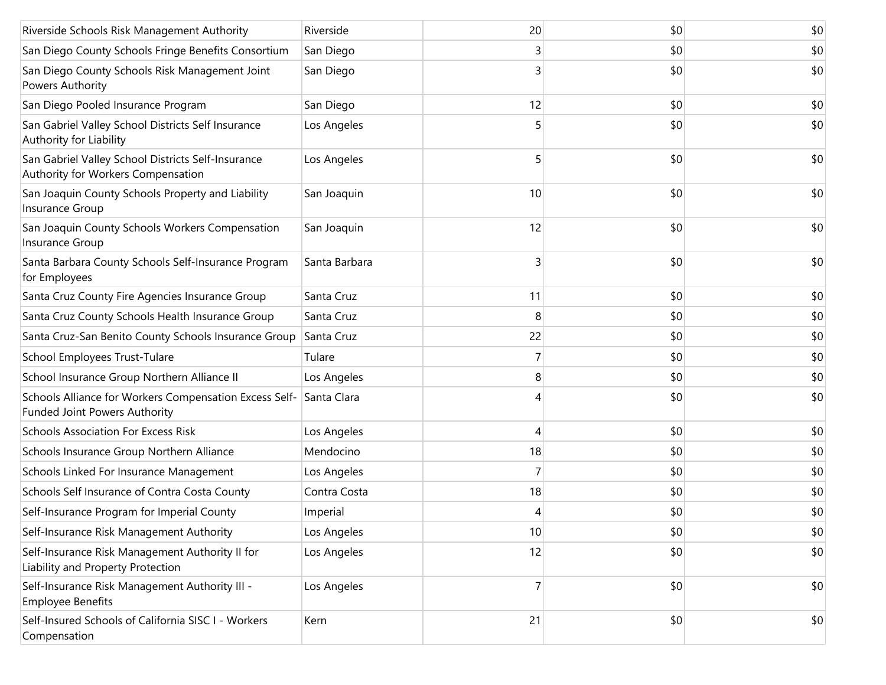| Riverside Schools Risk Management Authority                                              | Riverside     | 20 | \$0 | \$0 |
|------------------------------------------------------------------------------------------|---------------|----|-----|-----|
| San Diego County Schools Fringe Benefits Consortium                                      | San Diego     | 3  | \$0 | \$0 |
| San Diego County Schools Risk Management Joint<br>Powers Authority                       | San Diego     | 3  | \$0 | \$0 |
| San Diego Pooled Insurance Program                                                       | San Diego     | 12 | \$0 | \$0 |
| San Gabriel Valley School Districts Self Insurance<br>Authority for Liability            | Los Angeles   |    | \$0 | \$0 |
| San Gabriel Valley School Districts Self-Insurance<br>Authority for Workers Compensation | Los Angeles   | 5  | \$0 | \$0 |
| San Joaquin County Schools Property and Liability<br>Insurance Group                     | San Joaquin   | 10 | \$0 | \$0 |
| San Joaquin County Schools Workers Compensation<br>Insurance Group                       | San Joaquin   | 12 | \$0 | \$0 |
| Santa Barbara County Schools Self-Insurance Program<br>for Employees                     | Santa Barbara | 3  | \$0 | \$0 |
| Santa Cruz County Fire Agencies Insurance Group                                          | Santa Cruz    | 11 | \$0 | \$0 |
| Santa Cruz County Schools Health Insurance Group                                         | Santa Cruz    | 8  | \$0 | \$0 |
| Santa Cruz-San Benito County Schools Insurance Group                                     | Santa Cruz    | 22 | \$0 | \$0 |
| School Employees Trust-Tulare                                                            | Tulare        |    | \$0 | \$0 |
| School Insurance Group Northern Alliance II                                              | Los Angeles   | 8  | \$0 | \$0 |
| Schools Alliance for Workers Compensation Excess Self-<br>Funded Joint Powers Authority  | Santa Clara   |    | \$0 | \$0 |
| <b>Schools Association For Excess Risk</b>                                               | Los Angeles   | 4  | \$0 | \$0 |
| Schools Insurance Group Northern Alliance                                                | Mendocino     | 18 | \$0 | \$0 |
| Schools Linked For Insurance Management                                                  | Los Angeles   |    | \$0 | \$0 |
| Schools Self Insurance of Contra Costa County                                            | Contra Costa  | 18 | \$0 | \$0 |
| Self-Insurance Program for Imperial County                                               | Imperial      | 4  | \$0 | \$0 |
| Self-Insurance Risk Management Authority                                                 | Los Angeles   | 10 | \$0 | \$0 |
| Self-Insurance Risk Management Authority II for<br>Liability and Property Protection     | Los Angeles   | 12 | \$0 | \$0 |
| Self-Insurance Risk Management Authority III -<br><b>Employee Benefits</b>               | Los Angeles   | 7  | \$0 | \$0 |
| Self-Insured Schools of California SISC I - Workers<br>Compensation                      | Kern          | 21 | \$0 | \$0 |